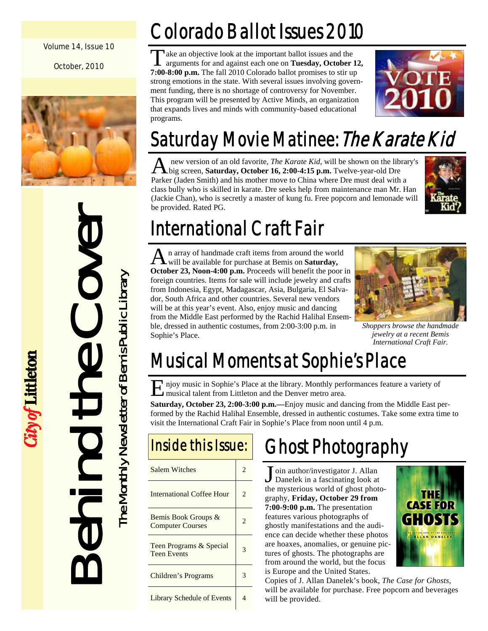#### Volume 14, Issue 10

October, 2010



Behind the Cover The Monthly Newsletter of Bemis Public Library

City of Littleton

The Monthly Newsletter of Bemis Public Library

## Colorado Ballot Issues 2010

ake an objective look at the important ballot issues and the arguments for and against each one on **Tuesday, October 12, 7:00-8:00 p.m.** The fall 2010 Colorado ballot promises to stir up strong emotions in the state. With several issues involving government funding, there is no shortage of controversy for November. This program will be presented by Active Minds, an organization that expands lives and minds with community-based educational programs.



## Saturday Movie Matinee: The Karate Kid

A new version of an old favorite, *The Karate Kid*, will be shown on the library's big screen, **Saturday, October 16, 2:00-4:15 p.m.** Twelve-year-old Dre Parker (Jaden Smith) and his mother move to China where Dre must deal with a class bully who is skilled in karate. Dre seeks help from maintenance man Mr. Han (Jackie Chan), who is secretly a master of kung fu. Free popcorn and lemonade will be provided. Rated PG.



## International Craft Fair

A n array of handmade craft items from around the world will be available for purchase at Bemis on **Saturday, October 23, Noon-4:00 p.m.** Proceeds will benefit the poor in foreign countries. Items for sale will include jewelry and crafts from Indonesia, Egypt, Madagascar, Asia, Bulgaria, El Salvador, South Africa and other countries. Several new vendors will be at this year's event. Also, enjoy music and dancing from the Middle East performed by the Rachid Halihal Ensemble, dressed in authentic costumes, from 2:00-3:00 p.m. in Sophie's Place.



*Shoppers browse the handmade jewelry at a recent Bemis International Craft Fair.* 

## Musical Moments at Sophie's Place

E njoy music in Sophie's Place at the library. Monthly performances feature a variety of musical talent from Littleton and the Denver metro area.

**Saturday, October 23, 2:00-3:00 p.m.—**Enjoy music and dancing from the Middle East performed by the Rachid Halihal Ensemble, dressed in authentic costumes. Take some extra time to visit the International Craft Fair in Sophie's Place from noon until 4 p.m.

| Inside this Issue:                             |                |  |
|------------------------------------------------|----------------|--|
| Salem Witches                                  | 2              |  |
| International Coffee Hour                      | $\mathfrak{D}$ |  |
| Bemis Book Groups &<br><b>Computer Courses</b> | $\mathfrak{D}$ |  |
| Teen Programs & Special<br><b>Teen Events</b>  | 3              |  |
| Children's Programs                            | 3              |  |
| <b>Library Schedule of Events</b>              | Δ              |  |

## Ghost Photography

J oin author/investigator J. Allan<br>Danelek in a fascinating look at the mysterious world of ghost photography, **Friday, October 29 from 7:00-9:00 p.m.** The presentation features various photographs of ghostly manifestations and the audience can decide whether these photos are hoaxes, anomalies, or genuine pictures of ghosts. The photographs are from around the world, but the focus is Europe and the United States.



Copies of J. Allan Danelek's book, *The Case for Ghosts,* will be available for purchase. Free popcorn and beverages will be provided.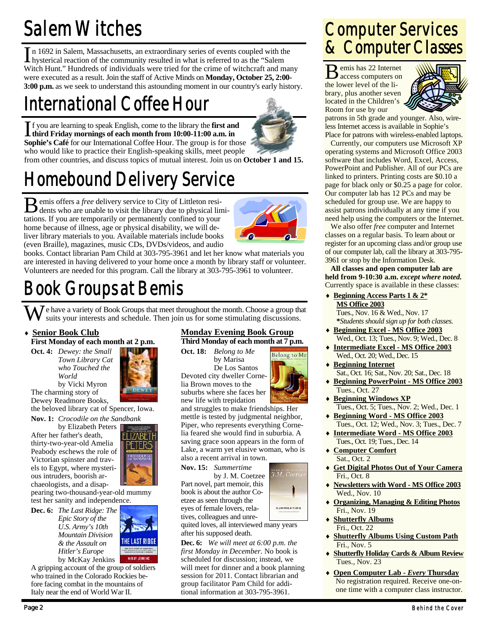## Salem Witches

In 1692 in Salem, Massachusetts, an extraordinary series of events coupled with the hysterical reaction of the community resulted in what is referred to as the "Salem Witch Hunt." Hundreds of individuals were tried for the crime of witchcraft and many were executed as a result. Join the staff of Active Minds on **Monday, October 25, 2:00- 3:00 p.m.** as we seek to understand this astounding moment in our country's early history.

## International Coffee Hour

If you are learning to speak English, come to the library the **first and third Friday mornings of each month from 10:00-11:00 a.m. in Sophie's Café** for our International Coffee Hour. The group is for those who would like to practice their English-speaking skills, meet people



from other countries, and discuss topics of mutual interest. Join us on **October 1 and 15.**

## Homebound Delivery Service

**B** emis offers a *free* delivery service to City of Littleton resi-<br>dents who are unable to visit the library due to physical limitations. If you are temporarily or permanently confined to your home because of illness, age or physical disability, we will deliver library materials to you. Available materials include books (even Braille), magazines, music CDs, DVDs/videos, and audio



Belong to Me

.<br>*K.M. Coet.* 

SUMMERTIME

books. Contact librarian Pam Child at 303-795-3961 and let her know what materials you are interested in having delivered to your home once a month by library staff or volunteer. Volunteers are needed for this program. Call the library at 303-795-3961 to volunteer.

## Book Groups at Bemis

W e have a variety of Book Groups that meet throughout the month. Choose a group that suits your interests and schedule. Then join us for some stimulating discussions.

#### **Senior Book Club**

**First Monday of each month at 2 p.m.** 

**Oct. 4:** *Dewey: the Small Town Library Cat who Touched the World*  by Vicki Myron

**IZABETI** ד ורא

The charming story of Dewey Readmore Books, the beloved library cat of Spencer, Iowa.

**Nov. 1:** *Crocodile on the Sandbank* 

 by Elizabeth Peters After her father's death, thirty-two-year-old Amelia Peabody eschews the role of Victorian spinster and travels to Egypt, where mysterious intruders, boorish archaeologists, and a disap-

pearing two-thousand-year-old mummy test her sanity and independence.

**Dec. 6:** *The Last Ridge: The Epic Story of the U.S. Army's 10th Mountain Division & the Assault on Hitler's Europe* by McKay Jenkins



A gripping account of the group of soldiers who trained in the Colorado Rockies before facing combat in the mountains of Italy near the end of World War II.

#### **Monday Evening Book Group Third Monday of each month at 7 p.m.**

**Oct. 18:** *Belong to Me*  by Marisa De Los Santos Devoted city dweller Cornelia Brown moves to the suburbs where she faces her new life with trepidation

and struggles to make friendships. Her mettle is tested by judgmental neighbor, Piper, who represents everything Cornelia feared she would find in suburbia. A saving grace soon appears in the form of Lake, a warm yet elusive woman, who is also a recent arrival in town.

**Nov. 15:** *Summertime* 

by J. M. Coetzee Part novel, part memoir, this book is about the author Coetzee as seen through the eyes of female lovers, relatives, colleagues and unre-

quited loves, all interviewed many years after his supposed death.

**Dec. 6:** *We will meet at 6:00 p.m. the first Monday in December.* No book is scheduled for discussion; instead, we will meet for dinner and a book planning session for 2011. Contact librarian and group facilitator Pam Child for additional information at 303-795-3961.

### Computer Services & Computer Classes

**D** emis has 22 Internet access computers on the lower level of the library, plus another seven located in the Children's Room for use by our



patrons in 5th grade and younger. Also, wireless Internet access is available in Sophie's Place for patrons with wireless-enabled laptops.

 Currently, our computers use Microsoft XP operating systems and Microsoft Office 2003 software that includes Word, Excel, Access, PowerPoint and Publisher. All of our PCs are linked to printers. Printing costs are \$0.10 a page for black only or \$0.25 a page for color. Our computer lab has 12 PCs and may be scheduled for group use. We are happy to assist patrons individually at any time if you need help using the computers or the Internet.

 We also offer *free* computer and Internet classes on a regular basis. To learn about or register for an upcoming class and/or group use of our computer lab, call the library at 303-795- 3961 or stop by the Information Desk.

**All classes and open computer lab are held from 9-10:30 a.m.** *except where noted.* Currently space is available in these classes:

- **Beginning Access Parts 1 & 2\* MS Office 2003** Tues., Nov. 16 & Wed., Nov. 17 **\****Students should sign up for both classes.*
- **Beginning Excel MS Office 2003** Wed., Oct. 13; Tues., Nov. 9; Wed., Dec. 8
- **Intermediate Excel MS Office 2003** Wed., Oct. 20; Wed., Dec. 15
- **Beginning Internet** Sat., Oct. 16; Sat., Nov. 20; Sat., Dec. 18
- **Beginning PowerPoint MS Office 2003** Tues., Oct. 27
- **Beginning Windows XP** Tues., Oct. 5; Tues., Nov. 2; Wed., Dec. 1
- **Beginning Word MS Office 2003** Tues., Oct. 12; Wed., Nov. 3; Tues., Dec. 7
- **Intermediate Word MS Office 2003** Tues., Oct. 19; Tues., Dec. 14
- **Computer Comfort** Sat., Oct. 2
- **Get Digital Photos Out of Your Camera** Fri., Oct. 8
- **Newsletters with Word MS Office 2003** Wed., Nov. 10
- **Organizing, Managing & Editing Photos** Fri., Nov. 19
- **Shutterfly Albums** Fri., Oct. 22
- **Shutterfly Albums Using Custom Path** Fri., Nov. 5
- **Shutterfly Holiday Cards & Album Review** Tues., Nov. 23
- **Open Computer Lab** *Every* **Thursday** No registration required. Receive one-onone time with a computer class instructor.

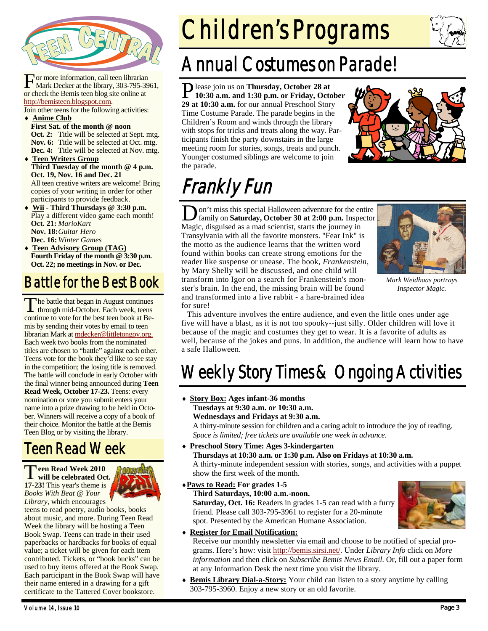

For more information, call teen librarian<br>Mark Decker at the library, 303-795-3961, or check the Bemis teen blog site online at http://bemisteen.blogspot.com.

Join other teens for the following activities: **Anime Club**

- **First Sat. of the month @ noon Oct. 2:** Title will be selected at Sept. mtg. **Nov. 6:** Title will be selected at Oct. mtg. **Dec. 4:** Title will be selected at Nov. mtg.
- **Teen Writers Group Third Tuesday of the month @ 4 p.m. Oct. 19, Nov. 16 and Dec. 21**  All teen creative writers are welcome! Bring copies of your writing in order for other participants to provide feedback.
- **Wii Third Thursdays @ 3:30 p.m.**  Play a different video game each month! **Oct. 21:** *MarioKart*  **Nov. 18:** *Guitar Hero*  **Dec. 16:** *Winter Games* **Teen Advisory Group (TAG)**
- **Fourth Friday of the month @ 3:30 p.m. Oct. 22; no meetings in Nov. or Dec.**

### Battle for the Best Book

The battle that began in August continues<br>through mid-October. Each week, teens continue to vote for the best teen book at Bemis by sending their votes by email to teen librarian Mark at mdecker@littletongov.org. Each week two books from the nominated titles are chosen to "battle" against each other. Teens vote for the book they'd like to see stay in the competition; the losing title is removed. The battle will conclude in early October with the final winner being announced during **Teen Read Week, October 17-23.** Teens: every nomination or vote you submit enters your name into a prize drawing to be held in October. Winners will receive a copy of a book of their choice. Monitor the battle at the Bemis Teen Blog or by visiting the library.

### Teen Read Week

T**een Read Week 2010 will be celebrated Oct. 17-23!** This year's theme is *Books With Beat @ Your Library*, which encourages



teens to read poetry, audio books, books about music, and more. During Teen Read Week the library will be hosting a Teen Book Swap. Teens can trade in their used paperbacks or hardbacks for books of equal value; a ticket will be given for each item contributed. Tickets, or "book bucks" can be used to buy items offered at the Book Swap. Each participant in the Book Swap will have their name entered in a drawing for a gift certificate to the Tattered Cover bookstore.

# Children's Programs



### Annual Costumes on Parade!

P lease join us on **Thursday, October 28 at 10:30 a.m. and 1:30 p.m. or Friday, October 29 at 10:30 a.m.** for our annual Preschool Story Time Costume Parade. The parade begins in the Children's Room and winds through the library with stops for tricks and treats along the way. Participants finish the party downstairs in the large meeting room for stories, songs, treats and punch. Younger costumed siblings are welcome to join the parade.



## Frankly Fun

on't miss this special Halloween adventure for the entire family on **Saturday, October 30 at 2:00 p.m.** Inspector Magic, disguised as a mad scientist, starts the journey in Transylvania with all the favorite monsters. "Fear Ink" is the motto as the audience learns that the written word found within books can create strong emotions for the reader like suspense or unease. The book*, Frankenstein,*  by Mary Shelly will be discussed, and one child will transform into Igor on a search for Frankenstein's monster's brain. In the end, the missing brain will be found and transformed into a live rabbit - a hare-brained idea for sure!



*Mark Weidhaas portrays Inspector Magic.* 

 This adventure involves the entire audience, and even the little ones under age five will have a blast, as it is not too spooky--just silly. Older children will love it because of the magic and costumes they get to wear. It is a favorite of adults as well, because of the jokes and puns. In addition, the audience will learn how to have a safe Halloween.

## Weekly Story Times & Ongoing Activities

 **Story Box: Ages infant-36 months Tuesdays at 9:30 a.m. or 10:30 a.m. Wednesdays and Fridays at 9:30 a.m.** 

A thirty-minute session for children and a caring adult to introduce the joy of reading. *Space is limited; free tickets are available one week in advance.* 

 **Preschool Story Time: Ages 3-kindergarten Thursdays at 10:30 a.m. or 1:30 p.m. Also on Fridays at 10:30 a.m.** 

A thirty-minute independent session with stories, songs, and activities with a puppet show the first week of the month.

**Paws to Read: For grades 1-5** 

#### **Third Saturdays, 10:00 a.m.-noon.**

**Saturday, Oct. 16:** Readers in grades 1-5 can read with a furry friend. Please call 303-795-3961 to register for a 20-minute spot. Presented by the American Humane Association.



#### **Register for Email Notification:**

Receive our monthly newsletter via email and choose to be notified of special programs. Here's how: visit http://bemis.sirsi.net/. Under *Library Info* click on *More information* and then click on *Subscribe Bemis News Email*. Or, fill out a paper form at any Information Desk the next time you visit the library.

 **Bemis Library Dial-a-Story:** Your child can listen to a story anytime by calling 303-795-3960. Enjoy a new story or an old favorite.